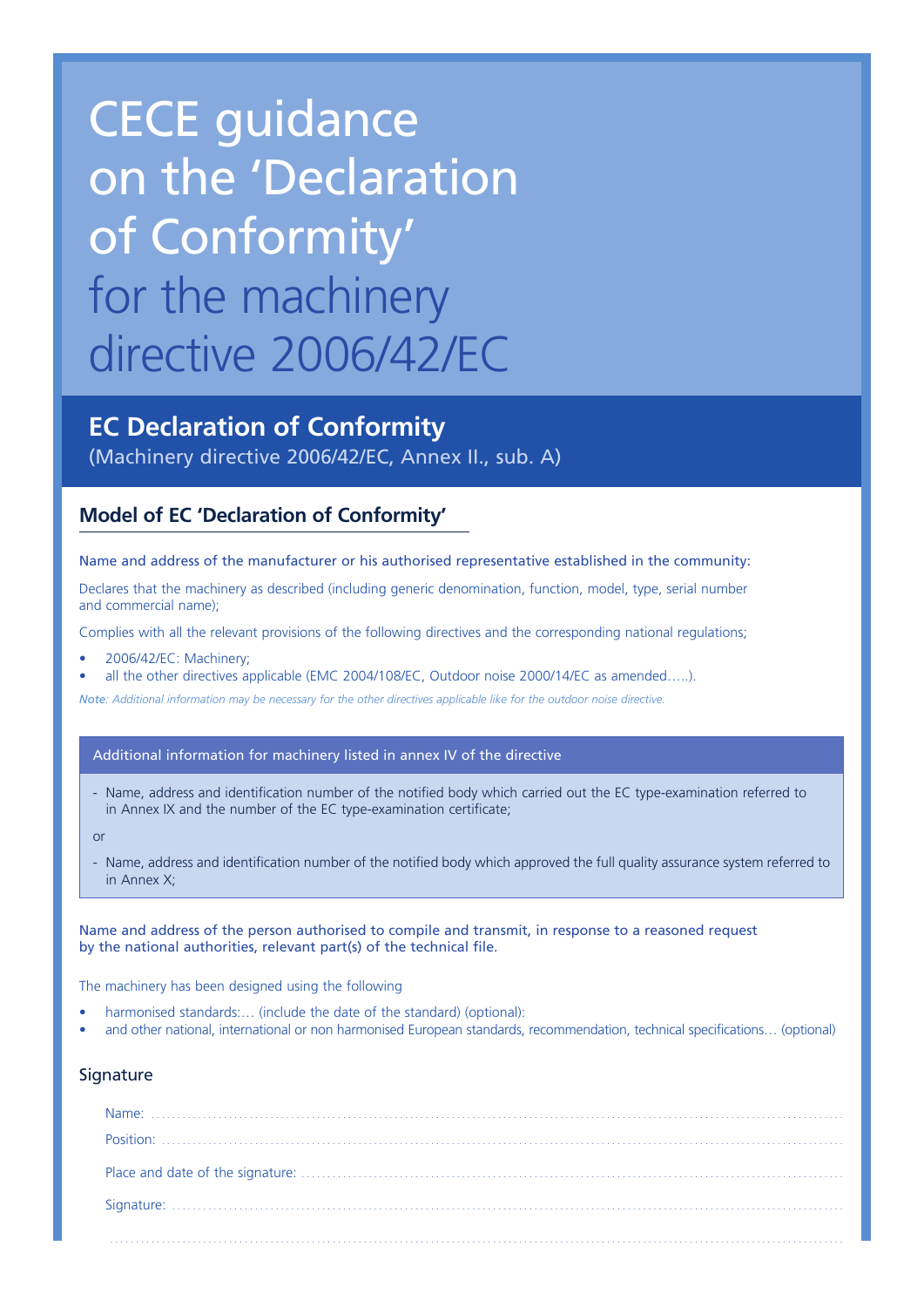# CECE guidance on the 'Declaration of Conformity' for the machinery directive 2006/42/EC

## **EC Declaration of Conformity**

(Machinery directive 2006/42/EC, Annex II., sub. A)

## **Model of EC 'Declaration of Conformity'**

#### Name and address of the manufacturer or his authorised representative established in the community:

Declares that the machinery as described (including generic denomination, function, model, type, serial number and commercial name);

Complies with all the relevant provisions of the following directives and the corresponding national regulations;

- 2006/42/EC: Machinery;
- all the other directives applicable (EMC 2004/108/EC, Outdoor noise 2000/14/EC as amended.....).

*Note: Additional information may be necessary for the other directives applicable like for the outdoor noise directive.*

Additional information for machinery listed in annex IV of the directive

- Name, address and identification number of the notified body which carried out the EC type-examination referred to in Annex IX and the number of the EC type-examination certificate;

or

- Name, address and identification number of the notified body which approved the full quality assurance system referred to in Annex X;

Name and address of the person authorised to compile and transmit, in response to a reasoned request by the national authorities, relevant part(s) of the technical file.

The machinery has been designed using the following

- harmonised standards:... (include the date of the standard) (optional):
- and other national, international or non harmonised European standards, recommendation, technical specifications… (optional)

## **Signature**